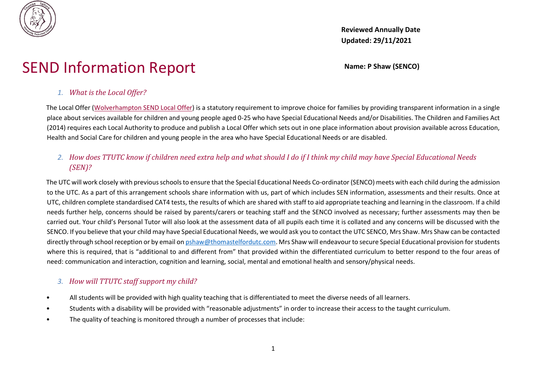

**Reviewed Annually Date Updated: 29/11/2021**

# SEND Information Report Name: P Shaw (SENCO)

# *1. What is the Local Offer?*

The Local Offer [\(Wolverhampton SEND Local Offer\)](http://www.wolverhampton.gov.uk/CHttpHandler.ashx?id=9148&p=0) is a statutory requirement to improve choice for families by providing transparent information in a single place about services available for children and young people aged 0-25 who have Special Educational Needs and/or Disabilities. The Children and Families Act (2014) requires each Local Authority to produce and publish a Local Offer which sets out in one place information about provision available across Education, Health and Social Care for children and young people in the area who have Special Educational Needs or are disabled.

# *2. How does TTUTC know if children need extra help and what should I do if I think my child may have Special Educational Needs (SEN)?*

The UTC will work closely with previous schools to ensure that the Special Educational Needs Co-ordinator (SENCO) meets with each child during the admission to the UTC. As a part of this arrangement schools share information with us, part of which includes SEN information, assessments and their results. Once at UTC, children complete standardised CAT4 tests, the results of which are shared with staff to aid appropriate teaching and learning in the classroom. If a child needs further help, concerns should be raised by parents/carers or teaching staff and the SENCO involved as necessary; further assessments may then be carried out. Your child's Personal Tutor will also look at the assessment data of all pupils each time it is collated and any concerns will be discussed with the SENCO. If you believe that your child may have Special Educational Needs, we would ask you to contact the UTC SENCO, Mrs Shaw. Mrs Shaw can be contacted directly through school reception or by email on pshaw@thomastelfordutc.com. Mrs Shaw will endeavour to secure Special Educational provision for students where this is required, that is "additional to and different from" that provided within the differentiated curriculum to better respond to the four areas of need: communication and interaction, cognition and learning, social, mental and emotional health and sensory/physical needs.

# *3. How will TTUTC staff support my child?*

- All students will be provided with high quality teaching that is differentiated to meet the diverse needs of all learners.
- Students with a disability will be provided with "reasonable adjustments" in order to increase their access to the taught curriculum.
- The quality of teaching is monitored through a number of processes that include: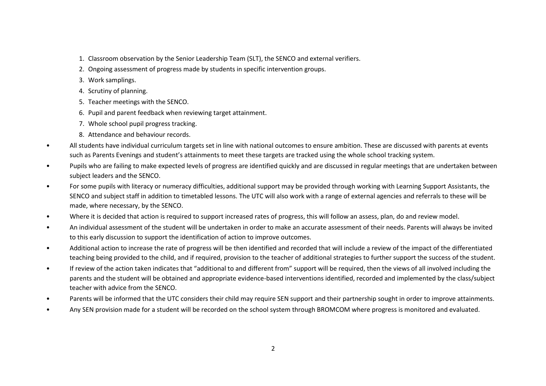- 1. Classroom observation by the Senior Leadership Team (SLT), the SENCO and external verifiers.
- 2. Ongoing assessment of progress made by students in specific intervention groups.
- 3. Work samplings.
- 4. Scrutiny of planning.
- 5. Teacher meetings with the SENCO.
- 6. Pupil and parent feedback when reviewing target attainment.
- 7. Whole school pupil progress tracking.
- 8. Attendance and behaviour records.
- All students have individual curriculum targets set in line with national outcomes to ensure ambition. These are discussed with parents at events such as Parents Evenings and student's attainments to meet these targets are tracked using the whole school tracking system.
- Pupils who are failing to make expected levels of progress are identified quickly and are discussed in regular meetings that are undertaken between subject leaders and the SENCO.
- For some pupils with literacy or numeracy difficulties, additional support may be provided through working with Learning Support Assistants, the SENCO and subject staff in addition to timetabled lessons. The UTC will also work with a range of external agencies and referrals to these will be made, where necessary, by the SENCO.
- Where it is decided that action is required to support increased rates of progress, this will follow an assess, plan, do and review model.
- An individual assessment of the student will be undertaken in order to make an accurate assessment of their needs. Parents will always be invited to this early discussion to support the identification of action to improve outcomes.
- Additional action to increase the rate of progress will be then identified and recorded that will include a review of the impact of the differentiated teaching being provided to the child, and if required, provision to the teacher of additional strategies to further support the success of the student.
- If review of the action taken indicates that "additional to and different from" support will be required, then the views of all involved including the parents and the student will be obtained and appropriate evidence-based interventions identified, recorded and implemented by the class/subject teacher with advice from the SENCO.
- Parents will be informed that the UTC considers their child may require SEN support and their partnership sought in order to improve attainments.
- Any SEN provision made for a student will be recorded on the school system through BROMCOM where progress is monitored and evaluated.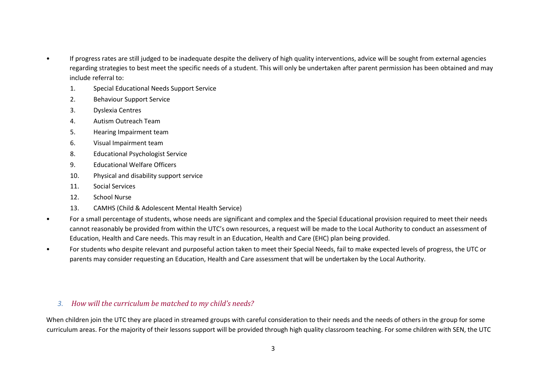- If progress rates are still judged to be inadequate despite the delivery of high quality interventions, advice will be sought from external agencies regarding strategies to best meet the specific needs of a student. This will only be undertaken after parent permission has been obtained and may include referral to:
	- 1. Special Educational Needs Support Service
	- 2. Behaviour Support Service
	- 3. Dyslexia Centres
	- 4. Autism Outreach Team
	- 5. Hearing Impairment team
	- 6. Visual Impairment team
	- 8. Educational Psychologist Service
	- 9. Educational Welfare Officers
	- 10. Physical and disability support service
	- 11. Social Services
	- 12. School Nurse
	- 13. CAMHS (Child & Adolescent Mental Health Service)
- For a small percentage of students, whose needs are significant and complex and the Special Educational provision required to meet their needs cannot reasonably be provided from within the UTC's own resources, a request will be made to the Local Authority to conduct an assessment of Education, Health and Care needs. This may result in an Education, Health and Care (EHC) plan being provided.
- For students who despite relevant and purposeful action taken to meet their Special Needs, fail to make expected levels of progress, the UTC or parents may consider requesting an Education, Health and Care assessment that will be undertaken by the Local Authority.

#### *3. How will the curriculum be matched to my child's needs?*

When children join the UTC they are placed in streamed groups with careful consideration to their needs and the needs of others in the group for some curriculum areas. For the majority of their lessons support will be provided through high quality classroom teaching. For some children with SEN, the UTC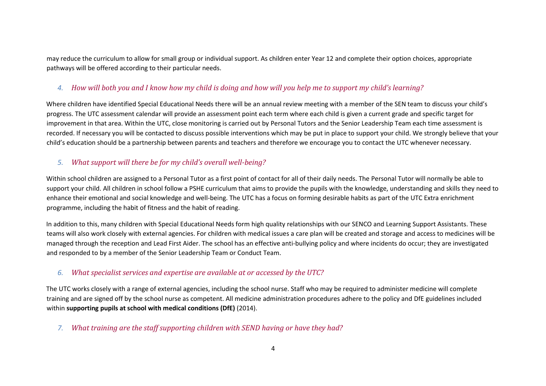may reduce the curriculum to allow for small group or individual support. As children enter Year 12 and complete their option choices, appropriate pathways will be offered according to their particular needs.

# *4. How will both you and I know how my child is doing and how will you help me to support my child's learning?*

Where children have identified Special Educational Needs there will be an annual review meeting with a member of the SEN team to discuss your child's progress. The UTC assessment calendar will provide an assessment point each term where each child is given a current grade and specific target for improvement in that area. Within the UTC, close monitoring is carried out by Personal Tutors and the Senior Leadership Team each time assessment is recorded. If necessary you will be contacted to discuss possible interventions which may be put in place to support your child. We strongly believe that your child's education should be a partnership between parents and teachers and therefore we encourage you to contact the UTC whenever necessary.

# *5. What support will there be for my child's overall well-being?*

Within school children are assigned to a Personal Tutor as a first point of contact for all of their daily needs. The Personal Tutor will normally be able to support your child. All children in school follow a PSHE curriculum that aims to provide the pupils with the knowledge, understanding and skills they need to enhance their emotional and social knowledge and well-being. The UTC has a focus on forming desirable habits as part of the UTC Extra enrichment programme, including the habit of fitness and the habit of reading.

In addition to this, many children with Special Educational Needs form high quality relationships with our SENCO and Learning Support Assistants. These teams will also work closely with external agencies. For children with medical issues a care plan will be created and storage and access to medicines will be managed through the reception and Lead First Aider. The school has an effective anti-bullying policy and where incidents do occur; they are investigated and responded to by a member of the Senior Leadership Team or Conduct Team.

# *6. What specialist services and expertise are available at or accessed by the UTC?*

The UTC works closely with a range of external agencies, including the school nurse. Staff who may be required to administer medicine will complete training and are signed off by the school nurse as competent. All medicine administration procedures adhere to the policy and DfE guidelines included within **supporting pupils at school with medical conditions (DfE)** (2014).

*7. What training are the staff supporting children with SEND having or have they had?*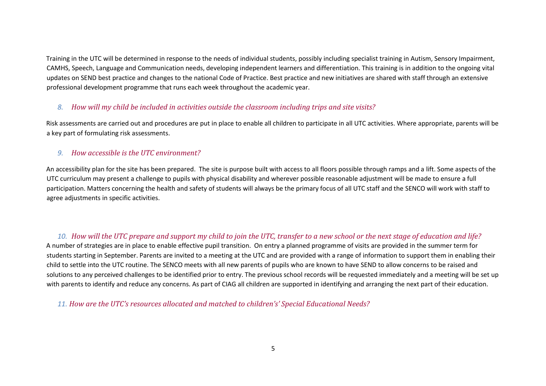Training in the UTC will be determined in response to the needs of individual students, possibly including specialist training in Autism, Sensory Impairment, CAMHS, Speech, Language and Communication needs, developing independent learners and differentiation. This training is in addition to the ongoing vital updates on SEND best practice and changes to the national Code of Practice. Best practice and new initiatives are shared with staff through an extensive professional development programme that runs each week throughout the academic year.

### *8. How will my child be included in activities outside the classroom including trips and site visits?*

Risk assessments are carried out and procedures are put in place to enable all children to participate in all UTC activities. Where appropriate, parents will be a key part of formulating risk assessments.

#### *9. How accessible is the UTC environment?*

An accessibility plan for the site has been prepared. The site is purpose built with access to all floors possible through ramps and a lift. Some aspects of the UTC curriculum may present a challenge to pupils with physical disability and wherever possible reasonable adjustment will be made to ensure a full participation. Matters concerning the health and safety of students will always be the primary focus of all UTC staff and the SENCO will work with staff to agree adjustments in specific activities.

*10. How will the UTC prepare and support my child to join the UTC, transfer to a new school or the next stage of education and life?*  A number of strategies are in place to enable effective pupil transition. On entry a planned programme of visits are provided in the summer term for students starting in September. Parents are invited to a meeting at the UTC and are provided with a range of information to support them in enabling their child to settle into the UTC routine. The SENCO meets with all new parents of pupils who are known to have SEND to allow concerns to be raised and solutions to any perceived challenges to be identified prior to entry. The previous school records will be requested immediately and a meeting will be set up with parents to identify and reduce any concerns. As part of CIAG all children are supported in identifying and arranging the next part of their education.

*11. How are the UTC's resources allocated and matched to children's' Special Educational Needs?*